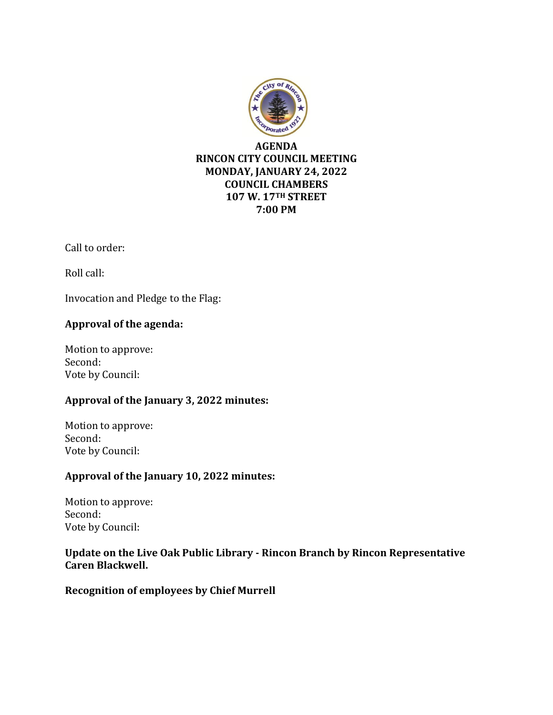

**7:00 PM**

Call to order:

Roll call:

Invocation and Pledge to the Flag:

## **Approval of the agenda:**

Motion to approve: Second: Vote by Council:

# **Approval of the January 3, 2022 minutes:**

Motion to approve: Second: Vote by Council:

## **Approval of the January 10, 2022 minutes:**

Motion to approve: Second: Vote by Council:

## **Update on the Live Oak Public Library - Rincon Branch by Rincon Representative Caren Blackwell.**

**Recognition of employees by Chief Murrell**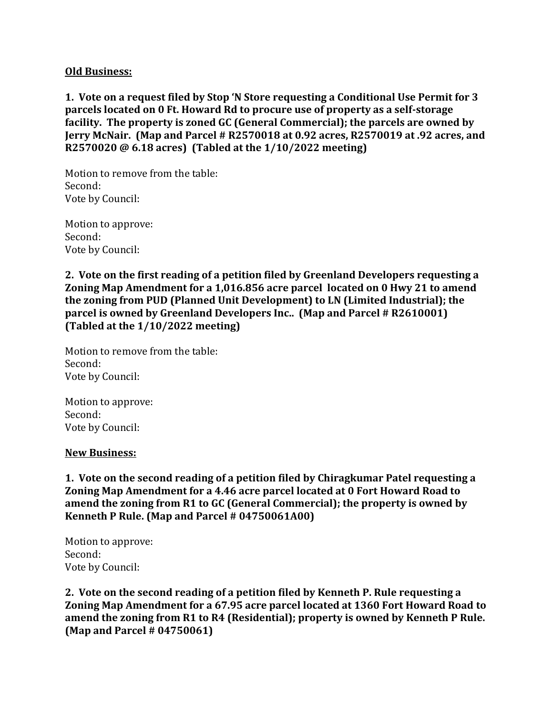#### **Old Business:**

**1. Vote on a request filed by Stop 'N Store requesting a Conditional Use Permit for 3 parcels located on 0 Ft. Howard Rd to procure use of property as a self-storage facility. The property is zoned GC (General Commercial); the parcels are owned by Jerry McNair. (Map and Parcel # R2570018 at 0.92 acres, R2570019 at .92 acres, and R2570020 @ 6.18 acres) (Tabled at the 1/10/2022 meeting)**

Motion to remove from the table: Second: Vote by Council:

Motion to approve: Second: Vote by Council:

**2. Vote on the first reading of a petition filed by Greenland Developers requesting a Zoning Map Amendment for a 1,016.856 acre parcel located on 0 Hwy 21 to amend the zoning from PUD (Planned Unit Development) to LN (Limited Industrial); the parcel is owned by Greenland Developers Inc.. (Map and Parcel # R2610001) (Tabled at the 1/10/2022 meeting)**

Motion to remove from the table: Second: Vote by Council:

Motion to approve: Second: Vote by Council:

#### **New Business:**

**1. Vote on the second reading of a petition filed by Chiragkumar Patel requesting a Zoning Map Amendment for a 4.46 acre parcel located at 0 Fort Howard Road to amend the zoning from R1 to GC (General Commercial); the property is owned by Kenneth P Rule. (Map and Parcel # 04750061A00)**

Motion to approve: Second: Vote by Council:

**2. Vote on the second reading of a petition filed by Kenneth P. Rule requesting a Zoning Map Amendment for a 67.95 acre parcel located at 1360 Fort Howard Road to amend the zoning from R1 to R4 (Residential); property is owned by Kenneth P Rule. (Map and Parcel # 04750061)**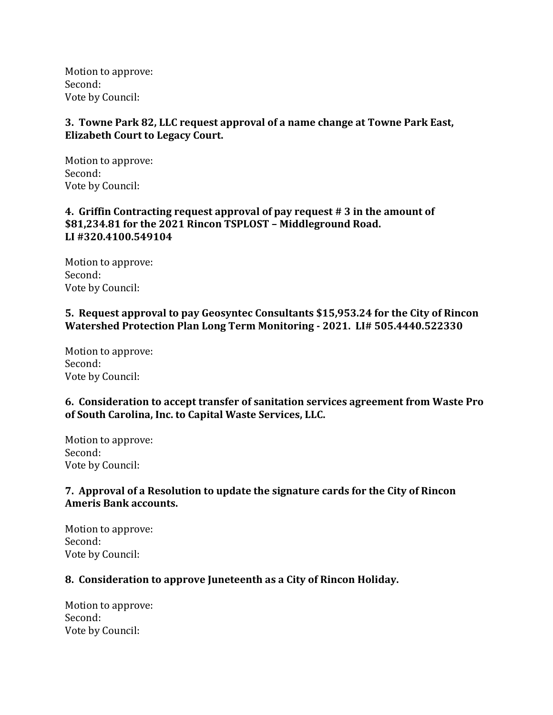Motion to approve: Second: Vote by Council:

## **3. Towne Park 82, LLC request approval of a name change at Towne Park East, Elizabeth Court to Legacy Court.**

Motion to approve: Second: Vote by Council:

### **4. Griffin Contracting request approval of pay request # 3 in the amount of \$81,234.81 for the 2021 Rincon TSPLOST – Middleground Road. LI #320.4100.549104**

Motion to approve: Second: Vote by Council:

#### **5. Request approval to pay Geosyntec Consultants \$15,953.24 for the City of Rincon Watershed Protection Plan Long Term Monitoring - 2021. LI# 505.4440.522330**

Motion to approve: Second: Vote by Council:

### **6. Consideration to accept transfer of sanitation services agreement from Waste Pro of South Carolina, Inc. to Capital Waste Services, LLC.**

Motion to approve: Second: Vote by Council:

## **7. Approval of a Resolution to update the signature cards for the City of Rincon Ameris Bank accounts.**

Motion to approve: Second: Vote by Council:

### **8. Consideration to approve Juneteenth as a City of Rincon Holiday.**

Motion to approve: Second: Vote by Council: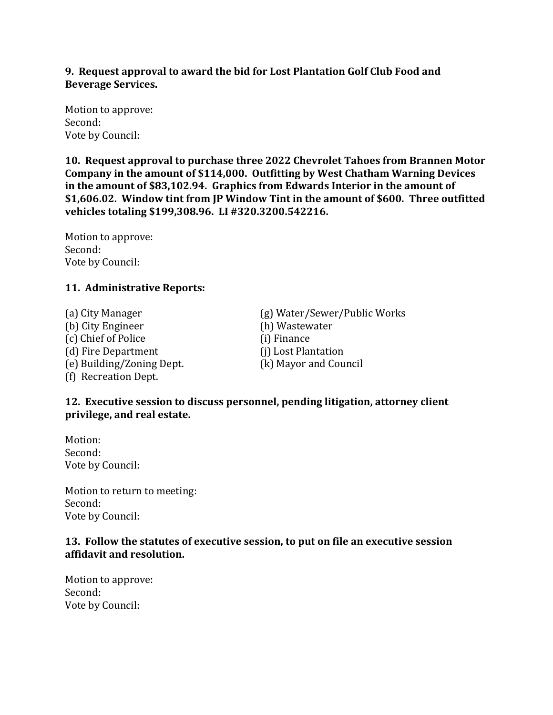### **9. Request approval to award the bid for Lost Plantation Golf Club Food and Beverage Services.**

Motion to approve: Second: Vote by Council:

**10. Request approval to purchase three 2022 Chevrolet Tahoes from Brannen Motor Company in the amount of \$114,000. Outfitting by West Chatham Warning Devices in the amount of \$83,102.94. Graphics from Edwards Interior in the amount of \$1,606.02. Window tint from JP Window Tint in the amount of \$600. Three outfitted vehicles totaling \$199,308.96. LI #320.3200.542216.**

Motion to approve: Second: Vote by Council:

## **11. Administrative Reports:**

(b) City Engineer (h) Wastewater (c) Chief of Police (i) Finance (d) Fire Department (j) Lost Plantation (e) Building/Zoning Dept. (k) Mayor and Council (f) Recreation Dept.

(a) City Manager (g) Water/Sewer/Public Works

- 
- 

## **12. Executive session to discuss personnel, pending litigation, attorney client privilege, and real estate.**

Motion: Second: Vote by Council:

Motion to return to meeting: Second: Vote by Council:

### **13. Follow the statutes of executive session, to put on file an executive session affidavit and resolution.**

Motion to approve: Second: Vote by Council: